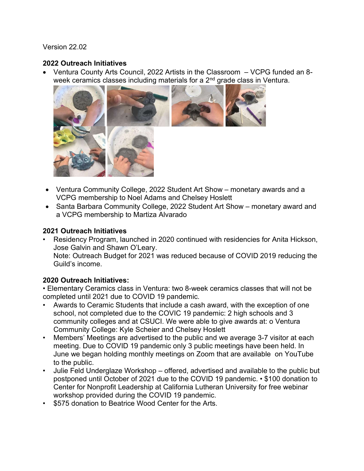Version 22.02

## 2022 Outreach Initiatives

 Ventura County Arts Council, 2022 Artists in the Classroom – VCPG funded an 8 week ceramics classes including materials for a  $2<sup>nd</sup>$  grade class in Ventura.



- Ventura Community College, 2022 Student Art Show monetary awards and a VCPG membership to Noel Adams and Chelsey Hoslett
- Santa Barbara Community College, 2022 Student Art Show monetary award and a VCPG membership to Martiza Alvarado

## 2021 Outreach Initiatives

• Residency Program, launched in 2020 continued with residencies for Anita Hickson, Jose Galvin and Shawn O'Leary.

Note: Outreach Budget for 2021 was reduced because of COVID 2019 reducing the Guild's income.

## 2020 Outreach Initiatives:

• Elementary Ceramics class in Ventura: two 8-week ceramics classes that will not be completed until 2021 due to COVID 19 pandemic.

- Awards to Ceramic Students that include a cash award, with the exception of one school, not completed due to the COVIC 19 pandemic: 2 high schools and 3 community colleges and at CSUCI. We were able to give awards at: o Ventura Community College: Kyle Scheier and Chelsey Hoslett
- Members' Meetings are advertised to the public and we average 3-7 visitor at each meeting. Due to COVID 19 pandemic only 3 public meetings have been held. In June we began holding monthly meetings on Zoom that are available on YouTube to the public.
- Julie Feld Underglaze Workshop offered, advertised and available to the public but postponed until October of 2021 due to the COVID 19 pandemic. • \$100 donation to Center for Nonprofit Leadership at California Lutheran University for free webinar workshop provided during the COVID 19 pandemic.
- \$575 donation to Beatrice Wood Center for the Arts.